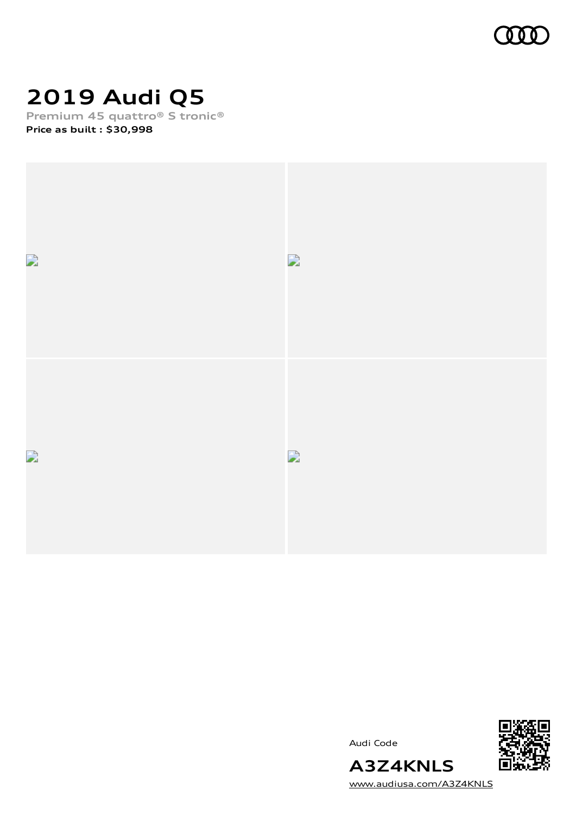

# **2019 Audi Q5**

**Premium 45 quattro® S tronic®**

**Price as built [:](#page-10-0) \$30,998**



Audi Code



[www.audiusa.com/A3Z4KNLS](https://www.audiusa.com/A3Z4KNLS)

**A3Z4KNLS**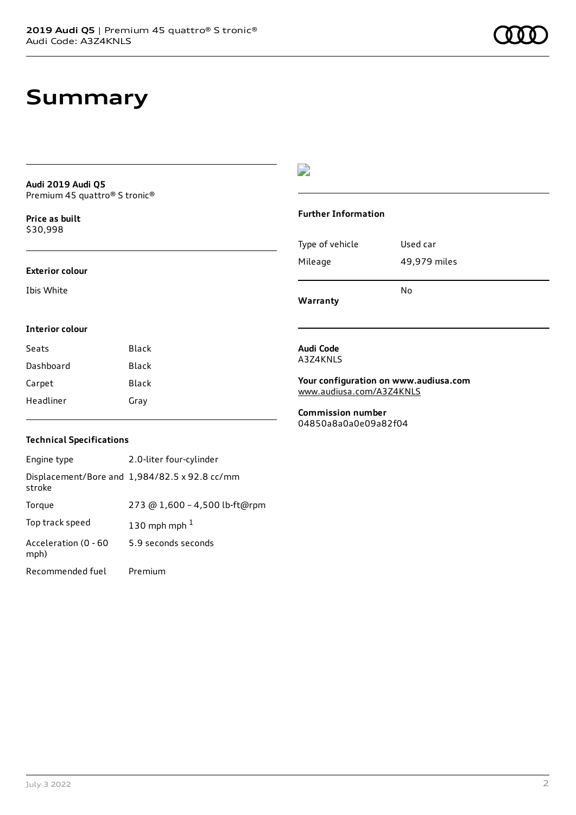# **Summary**

**Audi 2019 Audi Q5** Premium 45 quattro® S tronic®

**Price as buil[t](#page-10-0)** \$30,998

#### **Exterior colour**

Ibis White

### $\overline{\phantom{a}}$

### **Further Information**

|                 | N٥           |
|-----------------|--------------|
| Mileage         | 49,979 miles |
| Type of vehicle | Used car     |

**Warranty**

### **Interior colour**

| Seats     | Black |
|-----------|-------|
| Dashboard | Black |
| Carpet    | Black |
| Headliner | Grav  |

#### **Audi Code** A3Z4KNLS

**Your configuration on www.audiusa.com** [www.audiusa.com/A3Z4KNLS](https://www.audiusa.com/A3Z4KNLS)

**Commission number** 04850a8a0a0e09a82f04

### **Technical Specifications**

| Engine type                  | 2.0-liter four-cylinder                       |
|------------------------------|-----------------------------------------------|
| stroke                       | Displacement/Bore and 1,984/82.5 x 92.8 cc/mm |
| Torque                       | 273 @ 1,600 - 4,500 lb-ft@rpm                 |
| Top track speed              | 130 mph mph $1$                               |
| Acceleration (0 - 60<br>mph) | 5.9 seconds seconds                           |
| Recommended fuel             | Premium                                       |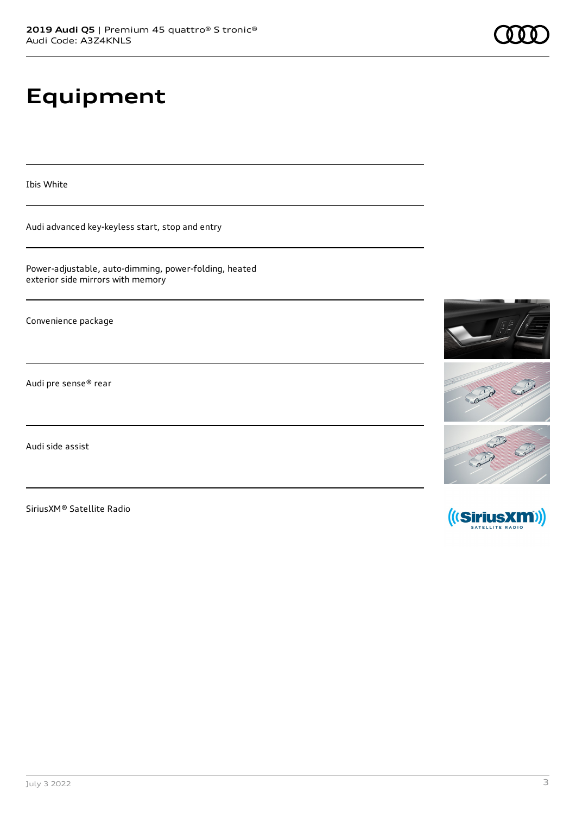# **Equipment**

Ibis White

Audi advanced key-keyless start, stop and entry

Power-adjustable, auto-dimming, power-folding, heated exterior side mirrors with memory

Convenience package

Audi pre sense® rear

Audi side assist

SiriusXM® Satellite Radio





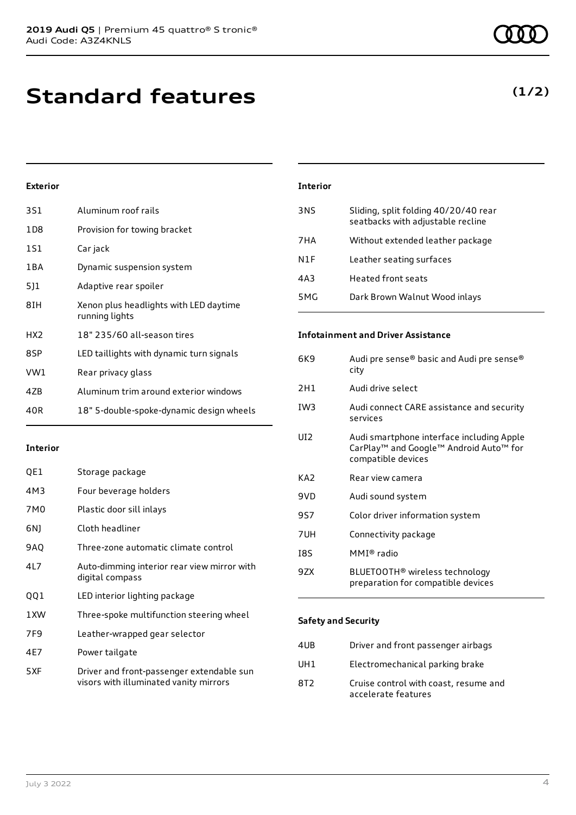**Standard features**

### **Exterior**

| 3S1             | Aluminum roof rails                                      |
|-----------------|----------------------------------------------------------|
| 1D8             | Provision for towing bracket                             |
| 1S1             | Car jack                                                 |
| 1BA             | Dynamic suspension system                                |
| 511             | Adaptive rear spoiler                                    |
| 8IH             | Xenon plus headlights with LED daytime<br>running lights |
| HX <sub>2</sub> | 18" 235/60 all-season tires                              |
| 8SP             | LED taillights with dynamic turn signals                 |
| VW1             | Rear privacy glass                                       |
| 4ZB             | Aluminum trim around exterior windows                    |
| 40R             | 18" 5-double-spoke-dynamic design wheels                 |

#### **Interior**

| QE1  | Storage package                                                                     |
|------|-------------------------------------------------------------------------------------|
| 4M3  | Four beverage holders                                                               |
| 7M0  | Plastic door sill inlays                                                            |
| 6N)  | Cloth headliner                                                                     |
| 9AQ  | Three-zone automatic climate control                                                |
| 41 7 | Auto-dimming interior rear view mirror with<br>digital compass                      |
| QQ1  | LED interior lighting package                                                       |
| 1XW  | Three-spoke multifunction steering wheel                                            |
| 7F9  | Leather-wrapped gear selector                                                       |
| 4E7  | Power tailgate                                                                      |
| 5XF  | Driver and front-passenger extendable sun<br>visors with illuminated vanity mirrors |

| <b>Interior</b> |                                                                           |
|-----------------|---------------------------------------------------------------------------|
| 3NS             | Sliding, split folding 40/20/40 rear<br>seatbacks with adjustable recline |
| 7 H A           | Without extended leather package                                          |
| N1F             | Leather seating surfaces                                                  |
| 4A3             | Heated front seats                                                        |
| 5MG             | Dark Brown Walnut Wood inlays                                             |

#### **Infotainment and Driver Assistance**

| 6K9 | Audi pre sense® basic and Audi pre sense®<br>city                                                                                 |
|-----|-----------------------------------------------------------------------------------------------------------------------------------|
| 2H1 | Audi drive select                                                                                                                 |
| IW3 | Audi connect CARE assistance and security<br>services                                                                             |
| UI2 | Audi smartphone interface including Apple<br>CarPlay <sup>™</sup> and Google™ Android Auto <sup>™</sup> for<br>compatible devices |
| KA2 | Rear view camera                                                                                                                  |
| 9VD | Audi sound system                                                                                                                 |
| 9S7 | Color driver information system                                                                                                   |
| 7UH | Connectivity package                                                                                                              |
| 18S | MMI® radio                                                                                                                        |
| 9ZX | BLUETOOTH® wireless technology<br>preparation for compatible devices                                                              |

#### **Safety and Security**

| 4UB             | Driver and front passenger airbags                           |
|-----------------|--------------------------------------------------------------|
| UH1             | Electromechanical parking brake                              |
| 8T <sub>2</sub> | Cruise control with coast, resume and<br>accelerate features |

### **(1/2)**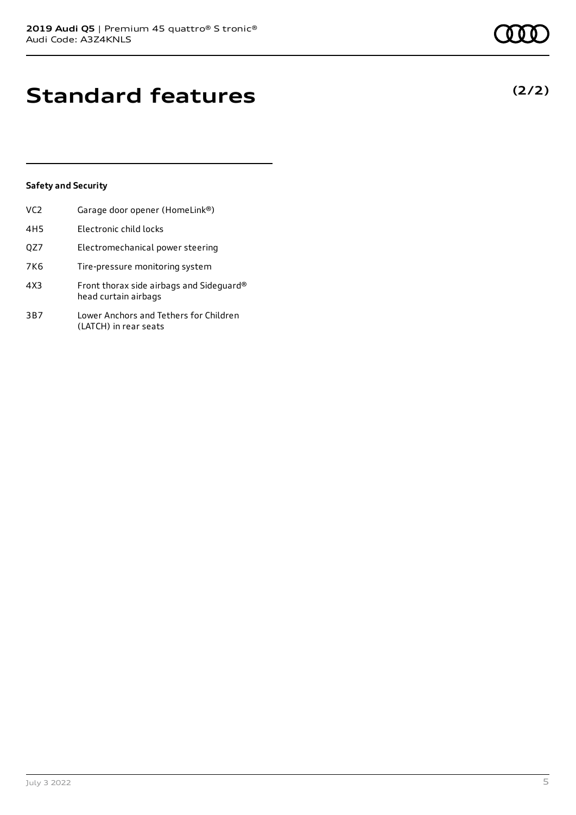# **Standard features**

### **Safety and Security**

| VC <sub>2</sub> | Garage door opener (HomeLink®)                                   |
|-----------------|------------------------------------------------------------------|
| 4H <sub>5</sub> | Electronic child locks                                           |
| QZ7             | Electromechanical power steering                                 |
| 7K6             | Tire-pressure monitoring system                                  |
| 4X3             | Front thorax side airbags and Sideguard®<br>head curtain airbags |
| 3B7             | Lower Anchors and Tethers for Children<br>(LATCH) in rear seats  |

**(2/2)**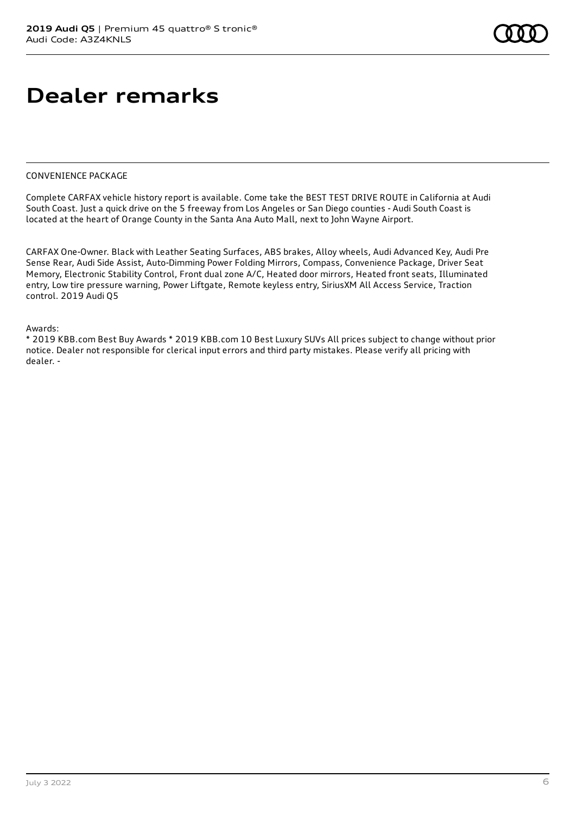# **Dealer remarks**

### CONVENIENCE PACKAGE

Complete CARFAX vehicle history report is available. Come take the BEST TEST DRIVE ROUTE in California at Audi South Coast. Just a quick drive on the 5 freeway from Los Angeles or San Diego counties - Audi South Coast is located at the heart of Orange County in the Santa Ana Auto Mall, next to John Wayne Airport.

CARFAX One-Owner. Black with Leather Seating Surfaces, ABS brakes, Alloy wheels, Audi Advanced Key, Audi Pre Sense Rear, Audi Side Assist, Auto-Dimming Power Folding Mirrors, Compass, Convenience Package, Driver Seat Memory, Electronic Stability Control, Front dual zone A/C, Heated door mirrors, Heated front seats, Illuminated entry, Low tire pressure warning, Power Liftgate, Remote keyless entry, SiriusXM All Access Service, Traction control. 2019 Audi Q5

#### Awards:

\* 2019 KBB.com Best Buy Awards \* 2019 KBB.com 10 Best Luxury SUVs All prices subject to change without prior notice. Dealer not responsible for clerical input errors and third party mistakes. Please verify all pricing with dealer. -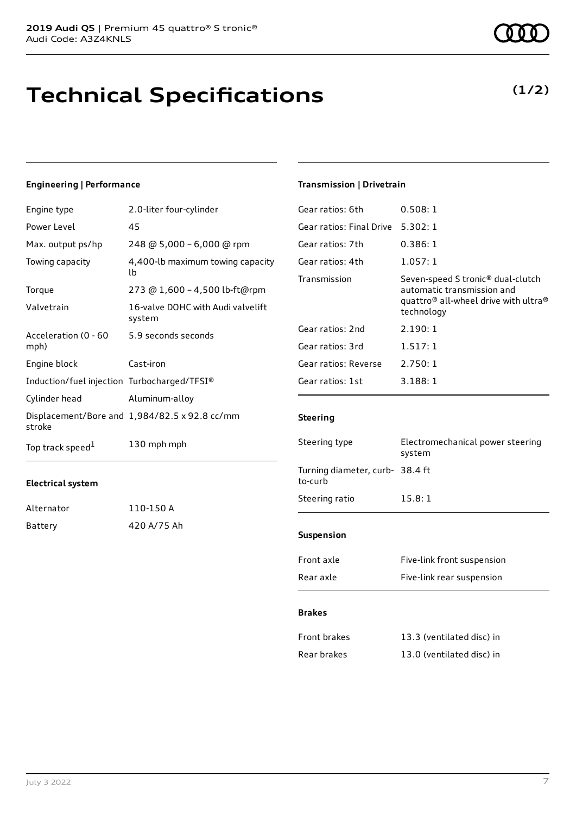# **Technical Specifications**

#### **Engineering | Performance**

| Engine type                                 | 2.0-liter four-cylinder                       |
|---------------------------------------------|-----------------------------------------------|
| Power Level                                 | 45                                            |
| Max. output ps/hp                           | 248 @ 5,000 - 6,000 @ rpm                     |
| Towing capacity                             | 4,400-lb maximum towing capacity<br>lb        |
| Torque                                      | 273 @ 1,600 - 4,500 lb-ft@rpm                 |
| Valvetrain                                  | 16-valve DOHC with Audi valvelift<br>system   |
| Acceleration (0 - 60<br>mph)                | 5.9 seconds seconds                           |
| Engine block                                | Cast-iron                                     |
| Induction/fuel injection Turbocharged/TFSI® |                                               |
| Cylinder head                               | Aluminum-alloy                                |
| stroke                                      | Displacement/Bore and 1,984/82.5 x 92.8 cc/mm |
| Top track speed <sup>1</sup>                | 130 mph mph                                   |

#### **Electrical system**

| Alternator | 110-150 A   |
|------------|-------------|
| Battery    | 420 A/75 Ah |

### **Transmission | Drivetrain**

| Gear ratios: 6th         | 0.508:1                                                                                                                                                   |
|--------------------------|-----------------------------------------------------------------------------------------------------------------------------------------------------------|
| Gear ratios: Final Drive | 5.302:1                                                                                                                                                   |
| Gear ratios: 7th         | 0.386:1                                                                                                                                                   |
| Gear ratios: 4th         | 1.057:1                                                                                                                                                   |
| Transmission             | Seven-speed S tronic <sup>®</sup> dual-clutch<br>automatic transmission and<br>quattro <sup>®</sup> all-wheel drive with ultra <sup>®</sup><br>technology |
| Gear ratios: 2nd         | 2.190:1                                                                                                                                                   |
| Gear ratios: 3rd         | 1.517:1                                                                                                                                                   |
| Gear ratios: Reverse     | 2.750:1                                                                                                                                                   |
| Gear ratios: 1st         | 3.188:1                                                                                                                                                   |
|                          |                                                                                                                                                           |

#### **Steering**

| Steering type                              | Electromechanical power steering<br>system |  |
|--------------------------------------------|--------------------------------------------|--|
| Turning diameter, curb- 38.4 ft<br>to-curb |                                            |  |
| Steering ratio                             | 15.8:1                                     |  |
|                                            |                                            |  |
| <b>Suspension</b>                          |                                            |  |
| Front axle                                 | Five-link front suspension                 |  |
| Rear axle                                  | Five-link rear suspension                  |  |

#### **Brakes**

| Front brakes | 13.3 (ventilated disc) in |
|--------------|---------------------------|
| Rear brakes  | 13.0 (ventilated disc) in |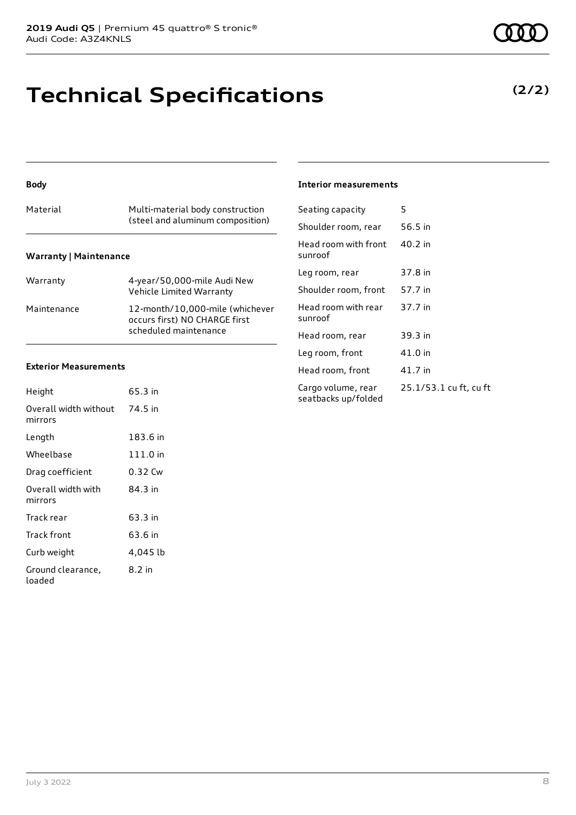# **Technical Specifications**

#### **Body**

| Warranty    | 4-year/50,000-mile Audi New<br>Vehicle Limited Warranty                                   |
|-------------|-------------------------------------------------------------------------------------------|
| Maintenance | 12-month/10,000-mile (whichever<br>occurs first) NO CHARGE first<br>scheduled maintenance |

#### **Exterior Measurements**

| Height                           | 65.3 in  |
|----------------------------------|----------|
| Overall width without<br>mirrors | 74.5 in  |
| Length                           | 183.6 in |
| Wheelbase                        | 111.0 in |
| Drag coefficient                 | 0.32 Cw  |
| Overall width with<br>mirrors    | 84.3 in  |
| Track rear                       | 63.3 in  |
| Track front                      | 63.6 in  |
| Curb weight                      | 4,045 lb |
| Ground clearance,<br>loaded      | 8.2 in   |

#### **Interior measurements**

| Seating capacity                          | 5                      |
|-------------------------------------------|------------------------|
| Shoulder room, rear                       | 56.5 in                |
| Head room with front<br>sunroof           | 40.2 in                |
| Leg room, rear                            | 37.8 in                |
| Shoulder room, front                      | 57.7 in                |
| Head room with rear<br>sunroof            | 37.7 in                |
| Head room, rear                           | 39.3 in                |
| Leg room, front                           | 41.0 in                |
| Head room, front                          | 41.7 in                |
| Cargo volume, rear<br>seatbacks up/folded | 25.1/53.1 cu ft, cu ft |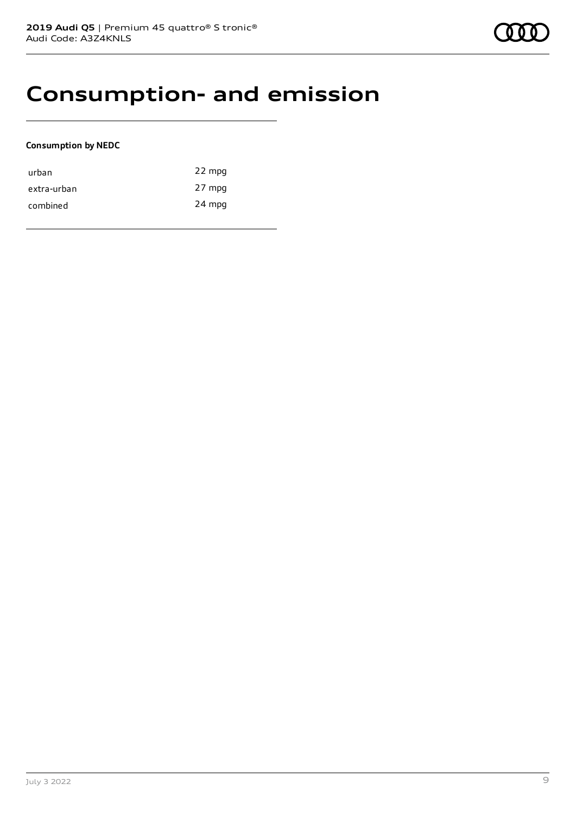## **Consumption- and emission**

#### **Consumption by NEDC**

| urban       | 22 mpg |
|-------------|--------|
| extra-urban | 27 mpg |
| combined    | 24 mpg |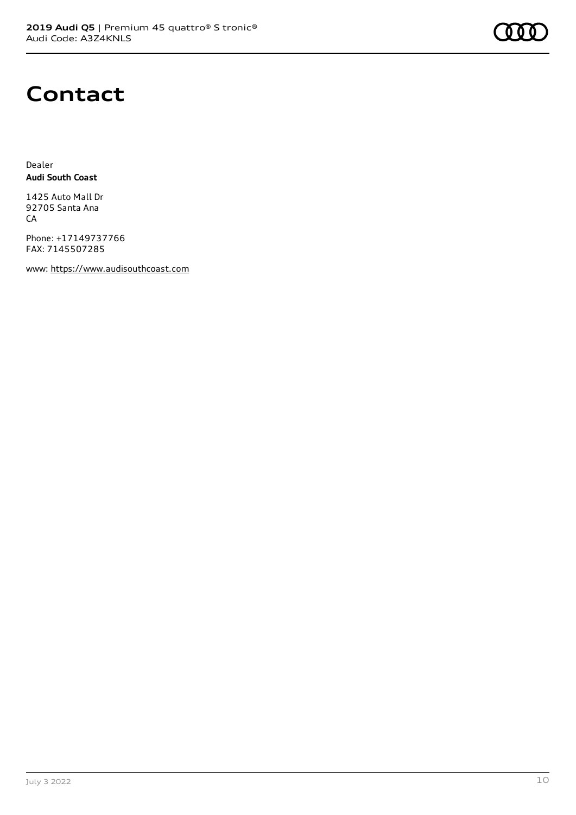

### **Contact**

Dealer **Audi South Coast**

1425 Auto Mall Dr 92705 Santa Ana **CA** 

Phone: +17149737766 FAX: 7145507285

www: [https://www.audisouthcoast.com](https://www.audisouthcoast.com/)